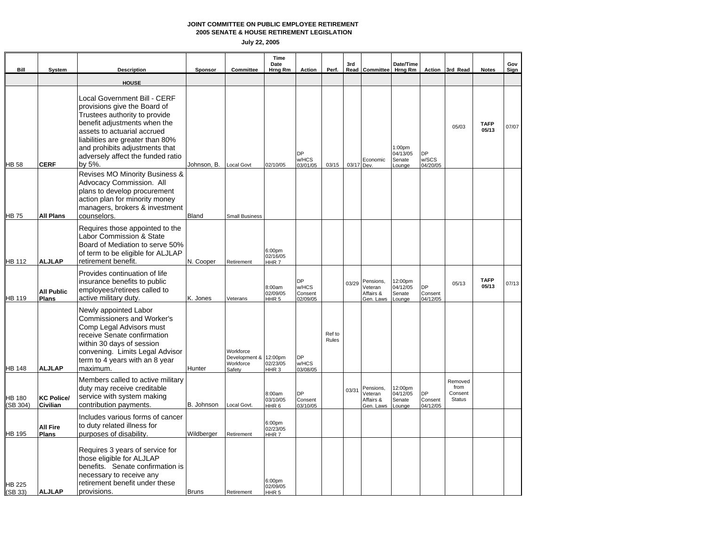**2005 SENATE & HOUSE RETIREMENT LEGISLATION**

| Bill                     | System                            | <b>Description</b>                                                                                                                                                                                                                                                                | Sponsor      | Committee                                                 | Time<br>Date<br>Hrng Rm                | Action                             | Perf.           | 3rd        | Read Committee                                 | Date/Time<br>Hrng Rm                               |                                  | Action 3rd Read                             | <b>Notes</b>         | Gov<br>Sign |
|--------------------------|-----------------------------------|-----------------------------------------------------------------------------------------------------------------------------------------------------------------------------------------------------------------------------------------------------------------------------------|--------------|-----------------------------------------------------------|----------------------------------------|------------------------------------|-----------------|------------|------------------------------------------------|----------------------------------------------------|----------------------------------|---------------------------------------------|----------------------|-------------|
|                          |                                   | <b>HOUSE</b>                                                                                                                                                                                                                                                                      |              |                                                           |                                        |                                    |                 |            |                                                |                                                    |                                  |                                             |                      |             |
| HB 58                    | <b>CERF</b>                       | Local Government Bill - CERF<br>provisions give the Board of<br>Trustees authority to provide<br>benefit adjustments when the<br>assets to actuarial accrued<br>liabilities are greater than 80%<br>and prohibits adjustments that<br>adversely affect the funded ratio<br>by 5%. | Johnson, B.  | <b>Local Govt</b>                                         | 02/10/05                               | DP<br>w/HCS<br>03/01/05            | 03/15           | 03/17 Dev. | Economic                                       | 1:00 <sub>pm</sub><br>04/13/05<br>Senate<br>Lounge | DP<br>w/SCS<br>04/20/05          | 05/03                                       | <b>TAFP</b><br>05/13 | 07/07       |
| HB 75                    | <b>All Plans</b>                  | Revises MO Minority Business &<br>Advocacy Commission. All<br>plans to develop procurement<br>action plan for minority money<br>managers, brokers & investment<br>counselors.                                                                                                     | Bland        | <b>Small Business</b>                                     |                                        |                                    |                 |            |                                                |                                                    |                                  |                                             |                      |             |
| <b>HB 112</b>            | <b>ALJLAP</b>                     | Requires those appointed to the<br>Labor Commission & State<br>Board of Mediation to serve 50%<br>of term to be eligible for ALJLAP<br>retirement benefit.                                                                                                                        | N. Cooper    | Retirement                                                | 6:00pm<br>02/16/05<br>HHR7             |                                    |                 |            |                                                |                                                    |                                  |                                             |                      |             |
| HB 119                   | <b>All Public</b><br><b>Plans</b> | Provides continuation of life<br>insurance benefits to public<br>employees/retirees called to<br>active military duty.                                                                                                                                                            | K. Jones     | Veterans                                                  | 8:00am<br>02/09/05<br>HHR <sub>5</sub> | DP<br>w/HCS<br>Consent<br>02/09/05 |                 | 03/29      | Pensions,<br>Veteran<br>Affairs &<br>Gen. Laws | 12:00pm<br>04/12/05<br>Senate<br>Lounge            | <b>DP</b><br>Consent<br>04/12/05 | 05/13                                       | <b>TAFP</b><br>05/13 | 07/13       |
| HB 148                   | <b>ALJLAP</b>                     | Newly appointed Labor<br>Commissioners and Worker's<br>Comp Legal Advisors must<br>receive Senate confirmation<br>within 30 days of session<br>convening. Limits Legal Advisor<br>term to 4 years with an 8 year<br>maximum.                                                      | Hunter       | Workforce<br>Development & 12:00pm<br>Workforce<br>Safety | 02/23/05<br>HHR <sub>3</sub>           | <b>DP</b><br>w/HCS<br>03/08/05     | Ref to<br>Rules |            |                                                |                                                    |                                  |                                             |                      |             |
| HB 180<br>(SB 304)       | <b>KC Police/</b><br>Civilian     | Members called to active military<br>duty may receive creditable<br>service with system making<br>contribution payments.                                                                                                                                                          | B. Johnson   | Local Govt.                                               | 8:00am<br>03/10/05<br>HHR <sub>6</sub> | <b>DP</b><br>Consent<br>03/10/05   |                 | 03/31      | Pensions,<br>Veteran<br>Affairs &<br>Gen. Laws | 12:00pm<br>04/12/05<br>Senate<br>Lounge            | DP<br>Consent<br>04/12/05        | Removed<br>from<br>Consent<br><b>Status</b> |                      |             |
| HB 195                   | <b>All Fire</b><br><b>Plans</b>   | Includes various forms of cancer<br>to duty related illness for<br>purposes of disability.                                                                                                                                                                                        | Wildberger   | Retirement                                                | 6:00pm<br>02/23/05<br>HHR7             |                                    |                 |            |                                                |                                                    |                                  |                                             |                      |             |
| <b>HB 225</b><br>(SB 33) | <b>ALJLAP</b>                     | Requires 3 years of service for<br>those eligible for ALJLAP<br>benefits. Senate confirmation is<br>necessary to receive any<br>retirement benefit under these<br>provisions.                                                                                                     | <b>Bruns</b> | Retirement                                                | 6:00pm<br>02/09/05<br>HHR <sub>5</sub> |                                    |                 |            |                                                |                                                    |                                  |                                             |                      |             |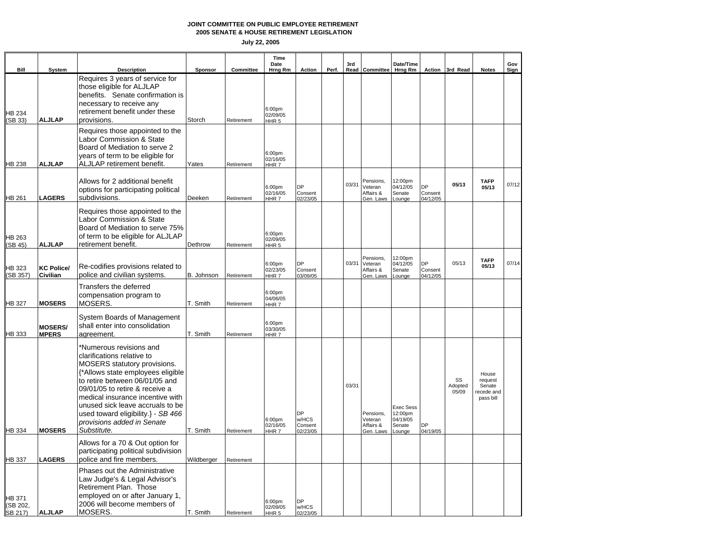**2005 SENATE & HOUSE RETIREMENT LEGISLATION**

|                                      | Bill    | <b>System</b>                  | <b>Description</b>                                                                                                                                                                                                                                                                                                                                               | Sponsor    | Committee  | Time<br>Date<br>Hrna Rm                | <b>Action</b>                             | Perf. | 3rd   | Read Committee Hrng Rm                               | Date/Time                                                   |                                  | Action 3rd Read        | <b>Notes</b>                                          | Gov<br>Sign |
|--------------------------------------|---------|--------------------------------|------------------------------------------------------------------------------------------------------------------------------------------------------------------------------------------------------------------------------------------------------------------------------------------------------------------------------------------------------------------|------------|------------|----------------------------------------|-------------------------------------------|-------|-------|------------------------------------------------------|-------------------------------------------------------------|----------------------------------|------------------------|-------------------------------------------------------|-------------|
| <b>HB 234</b><br>SB 33)              |         | <b>ALJLAP</b>                  | Requires 3 years of service for<br>those eligible for ALJLAP<br>benefits. Senate confirmation is<br>necessary to receive any<br>retirement benefit under these<br>provisions.                                                                                                                                                                                    | Storch     | Retirement | 6:00pm<br>02/09/05<br>HHR <sub>5</sub> |                                           |       |       |                                                      |                                                             |                                  |                        |                                                       |             |
| <b>HB 238</b>                        |         | <b>ALJLAP</b>                  | Requires those appointed to the<br>Labor Commission & State<br>Board of Mediation to serve 2<br>years of term to be eligible for<br>ALJLAP retirement benefit.                                                                                                                                                                                                   | Yates      | Retirement | 6:00pm<br>02/16/05<br>HHR <sub>7</sub> |                                           |       |       |                                                      |                                                             |                                  |                        |                                                       |             |
| <b>HB 261</b>                        |         | <b>LAGERS</b>                  | Allows for 2 additional benefit<br>options for participating political<br>subdivisions.                                                                                                                                                                                                                                                                          | Deeken     | Retirement | 6:00pm<br>02/16/05<br>HHR7             | DP<br>Consent<br>02/23/05                 |       | 03/31 | Pensions,<br>Veteran<br>Affairs &<br>Gen. Laws       | 12:00pm<br>04/12/05<br>Senate<br>Lounge                     | <b>DP</b><br>Consent<br>04/12/05 | 05/13                  | <b>TAFP</b><br>05/13                                  | 07/12       |
| HB 263<br>SB 45)                     |         | <b>ALJLAP</b>                  | Requires those appointed to the<br>Labor Commission & State<br>Board of Mediation to serve 75%<br>of term to be eligible for ALJLAP<br>retirement benefit.                                                                                                                                                                                                       | Dethrow    | Retirement | 6:00pm<br>02/09/05<br>HHR <sub>5</sub> |                                           |       |       |                                                      |                                                             |                                  |                        |                                                       |             |
| HB 323                               | SB 357) | <b>KC Police/</b><br>Civilian  | Re-codifies provisions related to<br>police and civilian systems.                                                                                                                                                                                                                                                                                                | B. Johnson | Retirement | 6:00pm<br>02/23/05<br>HHR <sub>7</sub> | DP<br>Consent<br>03/09/05                 |       |       | Pensions,<br>03/31 Veteran<br>Affairs &<br>Gen. Laws | 12:00pm<br>04/12/05<br>Senate<br>Lounge                     | <b>DP</b><br>Consent<br>04/12/05 | 05/13                  | <b>TAFP</b><br>05/13                                  | 07/14       |
| <b>HB 327</b>                        |         | <b>MOSERS</b>                  | Transfers the deferred<br>compensation program to<br>MOSERS.                                                                                                                                                                                                                                                                                                     | T. Smith   | Retirement | 6:00pm<br>04/06/05<br>HHR <sub>7</sub> |                                           |       |       |                                                      |                                                             |                                  |                        |                                                       |             |
| HB 333                               |         | <b>MOSERS/</b><br><b>MPERS</b> | System Boards of Management<br>shall enter into consolidation<br>agreement.                                                                                                                                                                                                                                                                                      | T. Smith   | Retirement | 6:00pm<br>03/30/05<br>HHR7             |                                           |       |       |                                                      |                                                             |                                  |                        |                                                       |             |
| <b>HB 334</b>                        |         | <b>MOSERS</b>                  | *Numerous revisions and<br>clarifications relative to<br><b>MOSERS</b> statutory provisions.<br>{*Allows state employees eligible<br>to retire between 06/01/05 and<br>09/01/05 to retire & receive a<br>medical insurance incentive with<br>unused sick leave accruals to be<br>used toward eligibility.} - SB 466<br>provisions added in Senate<br>Substitute. | T. Smith   | Retirement | 6:00pm<br>02/16/05<br>HHR7             | <b>DP</b><br>w/HCS<br>Consent<br>02/23/05 |       | 03/31 | Pensions,<br>Veteran<br>Affairs &<br>Gen. Laws       | <b>Exec Sess</b><br>12:00pm<br>04/19/05<br>Senate<br>Lounge | DP<br>04/19/05                   | SS<br>Adopted<br>05/09 | House<br>request<br>Senate<br>recede and<br>pass bill |             |
| HB 337                               |         | <b>LAGERS</b>                  | Allows for a 70 & Out option for<br>participating political subdivision<br>police and fire members.                                                                                                                                                                                                                                                              | Wildberger | Retirement |                                        |                                           |       |       |                                                      |                                                             |                                  |                        |                                                       |             |
| <b>HB 371</b><br>(SB 202,<br>SB 217) |         | <b>ALJLAP</b>                  | Phases out the Administrative<br>Law Judge's & Legal Advisor's<br>Retirement Plan. Those<br>employed on or after January 1,<br>2006 will become members of<br>MOSERS.                                                                                                                                                                                            | T. Smith   | Retirement | 6:00pm<br>02/09/05<br>HHR <sub>5</sub> | DP<br>w/HCS<br>02/23/05                   |       |       |                                                      |                                                             |                                  |                        |                                                       |             |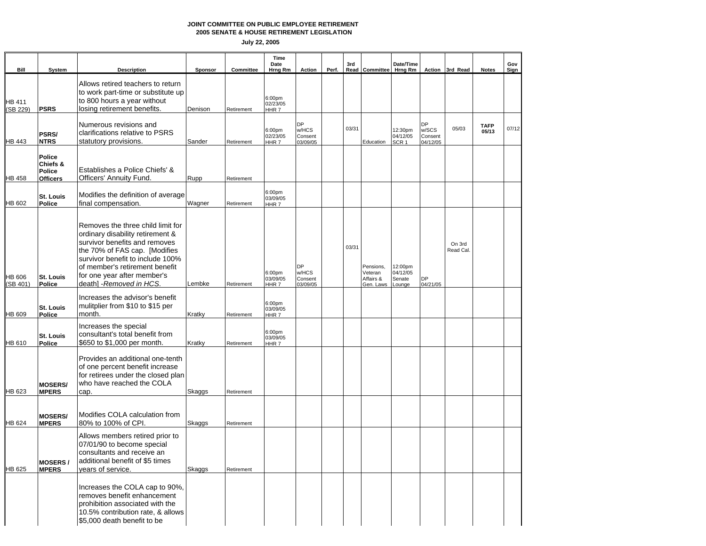**2005 SENATE & HOUSE RETIREMENT LEGISLATION**

| Bill                     | System                                          | <b>Description</b>                                                                                                                                                                                                                                                       | <b>Sponsor</b> | Committee  | Time<br>Date<br>Hrng Rm                | Action                                    | Perf. | 3rd   | Read Committee                                 | Date/Time<br>Hrng Rm                    |                                    | Action 3rd Read     | <b>Notes</b>         | Gov<br><b>Sign</b> |
|--------------------------|-------------------------------------------------|--------------------------------------------------------------------------------------------------------------------------------------------------------------------------------------------------------------------------------------------------------------------------|----------------|------------|----------------------------------------|-------------------------------------------|-------|-------|------------------------------------------------|-----------------------------------------|------------------------------------|---------------------|----------------------|--------------------|
| HB 411<br>SB 229)        | <b>PSRS</b>                                     | Allows retired teachers to return<br>to work part-time or substitute up<br>to 800 hours a year without<br>losina retirement benefits.                                                                                                                                    | Denison        | Retirement | 6:00pm<br>02/23/05<br>HHR7             |                                           |       |       |                                                |                                         |                                    |                     |                      |                    |
| HB 443                   | PSRS/<br><b>NTRS</b>                            | Numerous revisions and<br>clarifications relative to PSRS<br>statutory provisions.                                                                                                                                                                                       | Sander         | Retirement | 6:00pm<br>02/23/05<br>HHR <sub>7</sub> | DP<br>w/HCS<br>Consent<br>03/09/05        |       | 03/31 | Education                                      | 12:30pm<br>04/12/05<br>SCR <sub>1</sub> | DP<br>w/SCS<br>Consent<br>04/12/05 | 05/03               | <b>TAFP</b><br>05/13 | 07/12              |
| HB 458                   | Police<br>Chiefs &<br>Police<br><b>Officers</b> | Establishes a Police Chiefs' &<br>Officers' Annuity Fund.                                                                                                                                                                                                                | Rupp           | Retirement |                                        |                                           |       |       |                                                |                                         |                                    |                     |                      |                    |
| <b>HB 602</b>            | St. Louis<br>Police                             | Modifies the definition of average<br>final compensation.                                                                                                                                                                                                                | Wagner         | Retirement | 6:00pm<br>03/09/05<br>HHR <sub>7</sub> |                                           |       |       |                                                |                                         |                                    |                     |                      |                    |
| <b>HB 606</b><br>SB 401) | St. Louis<br>Police                             | Removes the three child limit for<br>ordinary disability retirement &<br>survivor benefits and removes<br>the 70% of FAS cap. [Modifies<br>survivor benefit to include 100%<br>of member's retirement benefit<br>for one year after member's<br>death] - Removed in HCS. | Lembke         | Retirement | 6:00pm<br>03/09/05<br>HHR <sub>7</sub> | <b>DP</b><br>w/HCS<br>Consent<br>03/09/05 |       | 03/31 | Pensions,<br>Veteran<br>Affairs &<br>Gen. Laws | 12:00pm<br>04/12/05<br>Senate<br>Lounge | DP<br>04/21/05                     | On 3rd<br>Read Cal. |                      |                    |
| HB 609                   | St. Louis<br>Police                             | Increases the advisor's benefit<br>mulitplier from \$10 to \$15 per<br>month.                                                                                                                                                                                            | Kratky         | Retirement | 6:00pm<br>03/09/05<br>HHR <sub>7</sub> |                                           |       |       |                                                |                                         |                                    |                     |                      |                    |
| <b>HB 610</b>            | St. Louis<br>Police                             | Increases the special<br>consultant's total benefit from<br>\$650 to \$1,000 per month.                                                                                                                                                                                  | Kratky         | Retirement | 6:00pm<br>03/09/05<br>HHR <sub>7</sub> |                                           |       |       |                                                |                                         |                                    |                     |                      |                    |
| <b>HB 623</b>            | <b>MOSERS/</b><br><b>MPERS</b>                  | Provides an additional one-tenth<br>of one percent benefit increase<br>for retirees under the closed plan<br>who have reached the COLA<br>cap.                                                                                                                           | Skaggs         | Retirement |                                        |                                           |       |       |                                                |                                         |                                    |                     |                      |                    |
| HB 624                   | <b>MOSERS/</b><br><b>MPERS</b>                  | Modifies COLA calculation from<br>80% to 100% of CPI.                                                                                                                                                                                                                    | Skaggs         | Retirement |                                        |                                           |       |       |                                                |                                         |                                    |                     |                      |                    |
| HB 625                   | MOSERS/<br><b>MPERS</b>                         | Allows members retired prior to<br>07/01/90 to become special<br>consultants and receive an<br>additional benefit of \$5 times<br>vears of service.                                                                                                                      | Skaggs         | Retirement |                                        |                                           |       |       |                                                |                                         |                                    |                     |                      |                    |
|                          |                                                 | Increases the COLA cap to 90%,<br>removes benefit enhancement<br>prohibition associated with the<br>10.5% contribution rate, & allows<br>\$5,000 death benefit to be                                                                                                     |                |            |                                        |                                           |       |       |                                                |                                         |                                    |                     |                      |                    |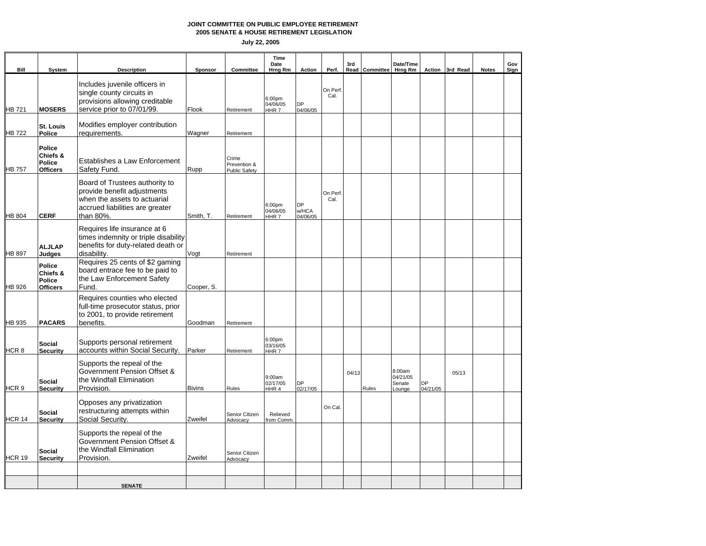**2005 SENATE & HOUSE RETIREMENT LEGISLATION**

| Bill          | System                                          | <b>Description</b>                                                                                                                            | Sponsor       | Committee                              | Time<br>Date<br>Hrng Rm                            | Action                  | Perf.            | 3rd   | Read Committee Hrng Rm | Date/Time                              |                       | Action 3rd Read | <b>Notes</b> | Gov<br>Sign |
|---------------|-------------------------------------------------|-----------------------------------------------------------------------------------------------------------------------------------------------|---------------|----------------------------------------|----------------------------------------------------|-------------------------|------------------|-------|------------------------|----------------------------------------|-----------------------|-----------------|--------------|-------------|
| HB 721        | <b>MOSERS</b>                                   | Includes juvenile officers in<br>single county circuits in<br>provisions allowing creditable<br>service prior to 07/01/99.                    | Flook         | Retirement                             | 6:00 <sub>pm</sub><br>04/06/05<br>HHR <sub>7</sub> | <b>DP</b><br>04/06/05   | On Perf.<br>Cal. |       |                        |                                        |                       |                 |              |             |
| HB 722        | St. Louis<br><b>Police</b>                      | Modifies employer contribution<br>requirements.                                                                                               | Wagner        | Retirement                             |                                                    |                         |                  |       |                        |                                        |                       |                 |              |             |
| HB 757        | Police<br>Chiefs &<br>Police<br><b>Officers</b> | Establishes a Law Enforcement<br>Safety Fund.                                                                                                 | Rupp          | Crime<br>Prevention &<br>Public Safety |                                                    |                         |                  |       |                        |                                        |                       |                 |              |             |
| HB 804        | <b>CERF</b>                                     | Board of Trustees authority to<br>provide benefit adjustments<br>when the assets to actuarial<br>accrued liabilities are greater<br>than 80%. | Smith, T.     | Retirement                             | 6:00pm<br>04/06/05<br>HHR <sub>7</sub>             | DP<br>w/HCA<br>04/06/05 | On Perf.<br>Cal. |       |                        |                                        |                       |                 |              |             |
| HB 897        | <b>ALJLAP</b><br>Judaes                         | Requires life insurance at 6<br>times indemnity or triple disability<br>benefits for duty-related death or<br>disability.                     | Vogt          | Retirement                             |                                                    |                         |                  |       |                        |                                        |                       |                 |              |             |
| HB 926        | Police<br>Chiefs &<br>Police<br><b>Officers</b> | Requires 25 cents of \$2 gaming<br>board entrace fee to be paid to<br>the Law Enforcement Safety<br>Fund.                                     | Cooper, S.    |                                        |                                                    |                         |                  |       |                        |                                        |                       |                 |              |             |
| HB 935        | <b>PACARS</b>                                   | Requires counties who elected<br>full-time prosecutor status, prior<br>to 2001, to provide retirement<br>benefits.                            | Goodman       | Retirement                             |                                                    |                         |                  |       |                        |                                        |                       |                 |              |             |
| HCR 8         | Social<br><b>Security</b>                       | Supports personal retirement<br>accounts within Social Security.                                                                              | Parker        | Retirement                             | 6:00pm<br>03/16/05<br>HHR <sub>7</sub>             |                         |                  |       |                        |                                        |                       |                 |              |             |
| HCR 9         | Social<br><b>Security</b>                       | Supports the repeal of the<br>Government Pension Offset &<br>the Windfall Elimination<br>Provision.                                           | <b>Bivins</b> | Rules                                  | 9:00am<br>02/17/05<br>HHR4                         | DP<br>02/17/05          |                  | 04/13 | Rules                  | 8:00am<br>04/21/05<br>Senate<br>Lounge | <b>DP</b><br>04/21/05 | 05/13           |              |             |
| <b>HCR 14</b> | <b>Social</b><br><b>Security</b>                | Opposes any privatization<br>restructuring attempts within<br>Social Security.                                                                | Zweifel       | Senior Citizen<br>Advocacy             | Relieved<br>rom Comm.                              |                         | On Cal.          |       |                        |                                        |                       |                 |              |             |
| <b>HCR 19</b> | Social<br><b>Security</b>                       | Supports the repeal of the<br>Government Pension Offset &<br>the Windfall Elimination<br>Provision.                                           | Zweifel       | Senior Citizen<br>Advocacy             |                                                    |                         |                  |       |                        |                                        |                       |                 |              |             |
|               |                                                 |                                                                                                                                               |               |                                        |                                                    |                         |                  |       |                        |                                        |                       |                 |              |             |
|               |                                                 | <b>SENATE</b>                                                                                                                                 |               |                                        |                                                    |                         |                  |       |                        |                                        |                       |                 |              |             |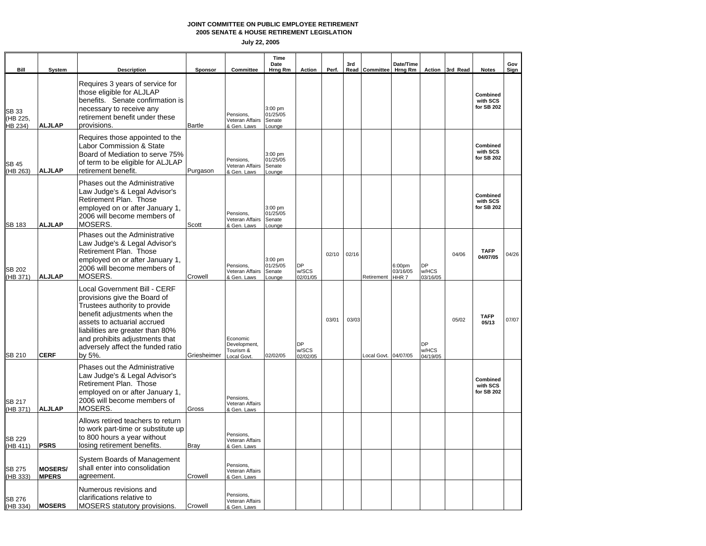**2005 SENATE & HOUSE RETIREMENT LEGISLATION**

| Bill                         | System                         | <b>Description</b>                                                                                                                                                                                                                                                                | Sponsor       | Committee                                           | Time<br>Date<br>Hrng Rm                        | Action                         | Perf. | 3rd   | Read Committee Hrng Rm | Date/Time                  |                                | Action 3rd Read | <b>Notes</b>                       | Gov<br>Sign |
|------------------------------|--------------------------------|-----------------------------------------------------------------------------------------------------------------------------------------------------------------------------------------------------------------------------------------------------------------------------------|---------------|-----------------------------------------------------|------------------------------------------------|--------------------------------|-------|-------|------------------------|----------------------------|--------------------------------|-----------------|------------------------------------|-------------|
| SB 33<br>(HB 225.<br>HB 234) | <b>ALJLAP</b>                  | Requires 3 years of service for<br>those eligible for ALJLAP<br>benefits. Senate confirmation is<br>necessary to receive any<br>retirement benefit under these<br>provisions.                                                                                                     | <b>Bartle</b> | Pensions.<br>Veteran Affairs<br>& Gen. Laws         | 3:00 pm<br>01/25/05<br>Senate<br><b>Lounge</b> |                                |       |       |                        |                            |                                |                 | Combined<br>with SCS<br>for SB 202 |             |
| <b>SB 45</b><br>(HB 263)     | <b>ALJLAP</b>                  | Requires those appointed to the<br>Labor Commission & State<br>Board of Mediation to serve 75%<br>of term to be eligible for ALJLAP<br>retirement benefit.                                                                                                                        | Purgason      | Pensions,<br>Veteran Affairs<br>& Gen. Laws         | 3:00 pm<br>01/25/05<br>Senate<br>Lounae        |                                |       |       |                        |                            |                                |                 | Combined<br>with SCS<br>for SB 202 |             |
| SB 183                       | <b>ALJLAP</b>                  | Phases out the Administrative<br>Law Judge's & Legal Advisor's<br>Retirement Plan. Those<br>employed on or after January 1,<br>2006 will become members of<br>MOSERS.                                                                                                             | Scott         | Pensions,<br>Veteran Affairs<br>& Gen. Laws         | 3:00 pm<br>01/25/05<br>Senate<br>Lounge        |                                |       |       |                        |                            |                                |                 | Combined<br>with SCS<br>for SB 202 |             |
| <b>SB 202</b><br>(HB 371)    | <b>ALJLAP</b>                  | Phases out the Administrative<br>Law Judge's & Legal Advisor's<br>Retirement Plan. Those<br>employed on or after January 1,<br>2006 will become members of<br>MOSERS.                                                                                                             | Crowell       | Pensions.<br>Veteran Affairs<br>& Gen. Laws         | 3:00 pm<br>01/25/05<br>Senate<br>_ounge        | <b>DP</b><br>w/SCS<br>02/01/05 | 02/10 | 02/16 | Retirement             | 6:00pm<br>03/16/05<br>HHR7 | <b>DP</b><br>w/HCS<br>03/16/05 | 04/06           | <b>TAFP</b><br>04/07/05            | 04/26       |
| SB 210                       | <b>CERF</b>                    | Local Government Bill - CERF<br>provisions give the Board of<br>Trustees authority to provide<br>benefit adjustments when the<br>assets to actuarial accrued<br>liabilities are greater than 80%<br>and prohibits adjustments that<br>adversely affect the funded ratio<br>by 5%. | Griesheimer   | Economic<br>Development,<br>Tourism &<br>Local Govt | 02/02/05                                       | <b>DP</b><br>w/SCS<br>02/02/05 | 03/01 | 03/03 | Local Govt. 04/07/05   |                            | <b>DP</b><br>w/HCS<br>04/19/05 | 05/02           | <b>TAFP</b><br>05/13               | 07/07       |
| <b>SB 217</b><br>(HB 371)    | <b>ALJLAP</b>                  | Phases out the Administrative<br>Law Judge's & Legal Advisor's<br>Retirement Plan. Those<br>employed on or after January 1.<br>2006 will become members of<br>MOSERS.                                                                                                             | Gross         | Pensions.<br>Veteran Affairs<br>& Gen. Laws         |                                                |                                |       |       |                        |                            |                                |                 | Combined<br>with SCS<br>for SB 202 |             |
| <b>SB 229</b><br>(HB 411)    | <b>PSRS</b>                    | Allows retired teachers to return<br>to work part-time or substitute up<br>to 800 hours a year without<br>losing retirement benefits.                                                                                                                                             | <b>Bray</b>   | Pensions,<br>Veteran Affairs<br>& Gen. Laws         |                                                |                                |       |       |                        |                            |                                |                 |                                    |             |
| SB 275<br>(HB 333)           | <b>MOSERS/</b><br><b>MPERS</b> | System Boards of Management<br>shall enter into consolidation<br>agreement.                                                                                                                                                                                                       | Crowell       | Pensions,<br>Veteran Affairs<br>& Gen. Laws         |                                                |                                |       |       |                        |                            |                                |                 |                                    |             |
| <b>SB 276</b><br>(HB 334)    | <b>MOSERS</b>                  | Numerous revisions and<br>clarifications relative to<br>MOSERS statutory provisions.                                                                                                                                                                                              | Crowell       | Pensions.<br>Veteran Affairs<br>& Gen. Laws         |                                                |                                |       |       |                        |                            |                                |                 |                                    |             |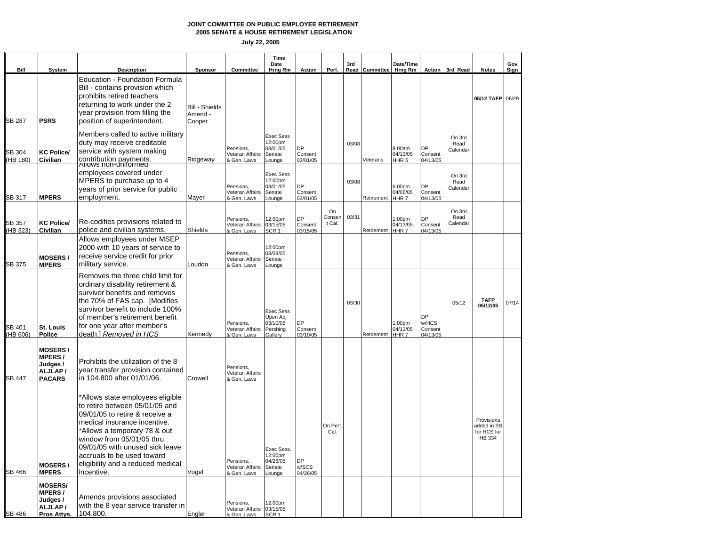**2005 SENATE & HOUSE RETIREMENT LEGISLATION**

| Bill                      | System                                                                | <b>Description</b>                                                                                                                                                                                                                                                                                                    | Sponsor                                    | Committee                                            | Time<br>Date<br>Hrng Rm                                         | Action                           | Perf.                  | 3rd   | Read Committee | Date/Time<br>Hrng Rm                               |                                    | Action 3rd Read            | <b>Notes</b>                                       | Gov<br>Sign |
|---------------------------|-----------------------------------------------------------------------|-----------------------------------------------------------------------------------------------------------------------------------------------------------------------------------------------------------------------------------------------------------------------------------------------------------------------|--------------------------------------------|------------------------------------------------------|-----------------------------------------------------------------|----------------------------------|------------------------|-------|----------------|----------------------------------------------------|------------------------------------|----------------------------|----------------------------------------------------|-------------|
| <b>SB 287</b>             | <b>PSRS</b>                                                           | <b>Education - Foundation Formula</b><br>Bill - contains provision which<br>prohibits retired teachers<br>returning to work under the 2<br>year provision from filling the<br>position of superintendent.                                                                                                             | <b>Bill - Shields</b><br>Amend -<br>Cooper |                                                      |                                                                 |                                  |                        |       |                |                                                    |                                    |                            | 05/12 TAFP 06/29                                   |             |
| <b>SB 304</b><br>(HB 180) | <b>KC Police/</b><br>Civilian                                         | Members called to active military<br>duty may receive creditable<br>service with system making<br>contribution payments.<br>Allows non-uniformed                                                                                                                                                                      | Ridgeway                                   | Pensions,<br>Veteran Affairs<br>& Gen. Laws          | Exec Sess<br>12:00pm<br>03/01/05<br>Senate<br>Lounge            | <b>DP</b><br>Consent<br>03/01/05 |                        | 03/08 | Veterans       | 8:00am<br>04/13/05<br>HHR <sub>5</sub>             | DP<br>Consent<br>04/13/05          | On 3rd<br>Read<br>Calendar |                                                    |             |
| SB 317                    | <b>MPERS</b>                                                          | employees covered under<br>MPERS to purchase up to 4<br>years of prior service for public<br>employment.                                                                                                                                                                                                              | Mayer                                      | Pensions,<br>Veteran Affairs<br>& Gen. Laws          | <b>Exec Sess</b><br>12:00pm<br>03/01/05<br>Senate<br>Lounge     | DP<br>Consent<br>03/01/05        |                        | 03/08 | Retirement     | 6:00 <sub>pm</sub><br>04/06/05<br>HHR <sub>7</sub> | DP<br>Consent<br>04/13/05          | On 3rd<br>Read<br>Calendar |                                                    |             |
| SB 357<br>HB 323)         | <b>KC Police/</b><br>Civilian                                         | Re-codifies provisions related to<br>police and civilian systems.                                                                                                                                                                                                                                                     | Shields                                    | Pensions,<br>Veteran Affairs<br>& Gen. Laws          | 12:00pm<br>03/15/05<br>SCR <sub>1</sub>                         | <b>DP</b><br>Consent<br>03/15/05 | On<br>Consen<br>t Cal. | 03/31 | Retirement     | 1:00 <sub>pm</sub><br>04/13/05<br>HHR 7            | <b>DP</b><br>Consent<br>04/13/05   | On 3rd<br>Read<br>Calendar |                                                    |             |
| SB 375                    | <b>MOSERS/</b><br><b>MPERS</b>                                        | Allows employees under MSEP<br>2000 with 10 years of service to<br>receive service credit for prior<br>military service.                                                                                                                                                                                              | Loudon                                     | Pensions.<br>Veteran Affairs<br>& Gen. Laws          | 12:00pm<br>03/08/05<br>Senate<br>Lounge                         |                                  |                        |       |                |                                                    |                                    |                            |                                                    |             |
| SB 401<br>(HB 606)        | St. Louis<br>Police                                                   | Removes the three child limit for<br>ordinary disability retirement &<br>survivor benefits and removes<br>the 70% of FAS cap. [Modifies<br>survivor benefit to include 100%<br>of member's retirement benefit<br>for one year after member's<br>death.] Removed in HCS                                                | Kennedy                                    | Pensions.<br>Veteran Affairs<br>& Gen. Laws          | <b>Exec Sess</b><br>Upon Adj<br>03/10/05<br>Pershing<br>Gallerv | DP<br>Consent<br>03/10/05        |                        | 03/30 | Retirement     | 1:00 <sub>pm</sub><br>04/13/05<br>HHR <sub>7</sub> | DP<br>w/HCS<br>Consent<br>04/13/05 | 05/12                      | <b>TAFP</b><br>05/12/05                            | 07/14       |
| SB 447                    | MOSERS/<br>MPERS/<br>Judges /<br>ALJLAP/<br><b>PACARS</b>             | Prohibits the utilization of the 8<br>year transfer provision contained<br>in 104.800 after 01/01/06.                                                                                                                                                                                                                 | Crowell                                    | Pensions,<br>Veteran Affairs<br>& Gen. Laws          |                                                                 |                                  |                        |       |                |                                                    |                                    |                            |                                                    |             |
| SB 466                    | <b>MOSERS/</b><br><b>MPERS</b>                                        | *Allows state employees eligible<br>to retire between 05/01/05 and<br>09/01/05 to retire & receive a<br>medical insurance incentive.<br>*Allows a temporary 78 & out<br>window from 05/01/05 thru<br>09/01/05 with unused sick leave<br>accruals to be used toward<br>eligibility and a reduced medical<br>incentive. | Vogel                                      | Pensions,<br>Veteran Affairs<br>& Gen. Laws          | Exec Sess.<br>12:00pm<br>04/26/05<br>Senate<br>Lounge           | DP<br>w/SCS<br>04/26/05          | On Perf<br>Cal.        |       |                |                                                    |                                    |                            | Provisions<br>added in SS<br>for HCS for<br>HB 334 |             |
| <b>SB 486</b>             | <b>MOSERS/</b><br><b>MPERS/</b><br>Judges /<br>ALJLAP/<br>Pros Attys. | Amends provisions associated<br>with the 8 year service transfer in<br>104.800.                                                                                                                                                                                                                                       | Engler                                     | Pensions,<br>Veteran Affairs 03/15/05<br>& Gen. Laws | 12:00pm<br>SCR <sub>1</sub>                                     |                                  |                        |       |                |                                                    |                                    |                            |                                                    |             |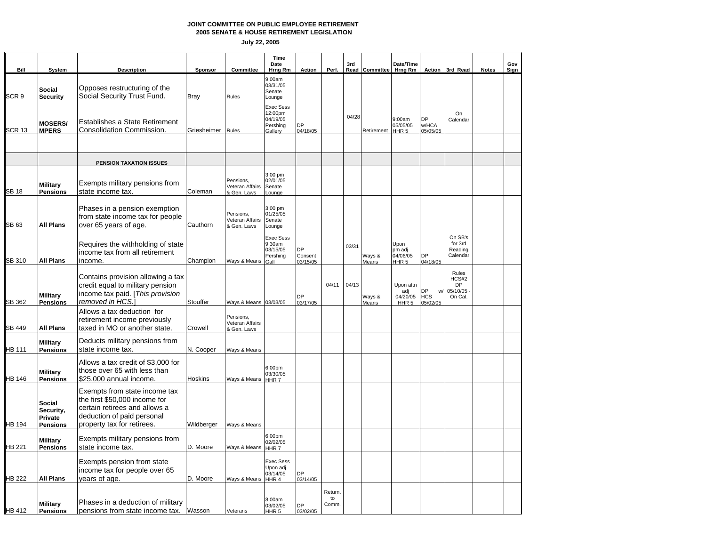#### **2005 SENATE & HOUSE RETIREMENT LEGISLATION JOINT COMMITTEE ON PUBLIC EMPLOYEE RETIREMENT**

| Bill             | System                                            | <b>Description</b>                                                                                                                                          | Sponsor     | Committee                                   | Time<br>Date<br>Hrng Rm                                        | Action                    | Perf.                 | 3rd   | Read Committee  | Date/Time<br>Hrng Rm                             |                                           | Action 3rd Read                             | <b>Notes</b> | Gov<br>Sign |
|------------------|---------------------------------------------------|-------------------------------------------------------------------------------------------------------------------------------------------------------------|-------------|---------------------------------------------|----------------------------------------------------------------|---------------------------|-----------------------|-------|-----------------|--------------------------------------------------|-------------------------------------------|---------------------------------------------|--------------|-------------|
| SCR <sub>9</sub> | <b>Social</b><br><b>Security</b>                  | Opposes restructuring of the<br>Social Security Trust Fund.                                                                                                 | <b>Bray</b> | Rules                                       | 9:00am<br>03/31/05<br>Senate<br>Lounge                         |                           |                       |       |                 |                                                  |                                           |                                             |              |             |
| <b>SCR 13</b>    | <b>MOSERS/</b><br><b>MPERS</b>                    | Establishes a State Retirement<br>Consolidation Commission.                                                                                                 | Griesheimer | Rules                                       | <b>Exec Sess</b><br>12:00pm<br>04/19/05<br>Pershing<br>Gallery | <b>DP</b><br>04/18/05     |                       | 04/28 | Retirement      | 9:00am<br>05/05/05<br>HHR <sub>5</sub>           | <b>DP</b><br>w/HCA<br>05/05/05            | On<br>Calendar                              |              |             |
|                  |                                                   | <b>PENSION TAXATION ISSUES</b>                                                                                                                              |             |                                             |                                                                |                           |                       |       |                 |                                                  |                                           |                                             |              |             |
| <b>SB 18</b>     | <b>Military</b><br><b>Pensions</b>                | Exempts military pensions from<br>state income tax.                                                                                                         | Coleman     | Pensions.<br>Veteran Affairs<br>& Gen. Laws | 3:00 pm<br>02/01/05<br>Senate<br><b>Lounge</b>                 |                           |                       |       |                 |                                                  |                                           |                                             |              |             |
| <b>SB 63</b>     | All Plans                                         | Phases in a pension exemption<br>from state income tax for people<br>over 65 years of age.                                                                  | Cauthorn    | Pensions,<br>Veteran Affairs<br>& Gen. Laws | $3:00$ pm<br>01/25/05<br>Senate<br>Lounge                      |                           |                       |       |                 |                                                  |                                           |                                             |              |             |
| SB 310           | <b>All Plans</b>                                  | Requires the withholding of state<br>income tax from all retirement<br>income.                                                                              | Champion    | Ways & Means                                | <b>Exec Sess</b><br>9:30am<br>03/15/05<br>Pershing<br>Gall     | DP<br>Consent<br>03/15/05 |                       | 03/31 | Ways &<br>Means | Upon<br>pm adj<br>04/06/05<br>HHR <sub>5</sub>   | <b>DP</b><br>04/18/05                     | On SB's<br>for 3rd<br>Reading<br>Calendar   |              |             |
| SB 362           | <b>Military</b><br><b>Pensions</b>                | Contains provision allowing a tax<br>credit equal to military pension<br>income tax paid. [This provision<br>removed in HCS.]                               | Stouffer    | Ways & Means 03/03/05                       |                                                                | DP<br>03/17/05            | 04/11                 | 04/13 | Ways &<br>Means | Upon aftn<br>adj<br>04/20/05<br>HHR <sub>5</sub> | <b>DP</b><br>w/<br><b>HCS</b><br>05/02/05 | Rules<br>HCS#2<br>DP<br>05/10/05<br>On Cal. |              |             |
| SB 449           | <b>All Plans</b>                                  | Allows a tax deduction for<br>retirement income previously<br>taxed in MO or another state.                                                                 | Crowell     | Pensions,<br>Veteran Affairs<br>& Gen. Laws |                                                                |                           |                       |       |                 |                                                  |                                           |                                             |              |             |
| <b>HB 111</b>    | <b>Military</b><br><b>Pensions</b>                | Deducts military pensions from<br>state income tax.                                                                                                         | N. Cooper   | Ways & Means                                |                                                                |                           |                       |       |                 |                                                  |                                           |                                             |              |             |
| <b>HB 146</b>    | <b>Military</b><br><b>Pensions</b>                | Allows a tax credit of \$3,000 for<br>those over 65 with less than<br>\$25,000 annual income.                                                               | Hoskins     | Ways & Means                                | 6:00pm<br>03/30/05<br>HHR7                                     |                           |                       |       |                 |                                                  |                                           |                                             |              |             |
| HB 194           | Social<br>Security,<br>Private<br><b>Pensions</b> | Exempts from state income tax<br>the first \$50,000 income for<br>certain retirees and allows a<br>deduction of paid personal<br>property tax for retirees. | Wildberger  | Ways & Means                                |                                                                |                           |                       |       |                 |                                                  |                                           |                                             |              |             |
| <b>B</b> 221     | <b>Military</b><br><b>Pensions</b>                | Exempts military pensions from<br>state income tax.                                                                                                         | D. Moore    | Ways & Means                                | 6:00pm<br>02/02/05<br>HHR <sub>7</sub>                         |                           |                       |       |                 |                                                  |                                           |                                             |              |             |
| <b>HB 222</b>    | All Plans                                         | Exempts pension from state<br>income tax for people over 65<br>years of age.                                                                                | D. Moore    | Ways & Means HHR 4                          | <b>Exec Sess</b><br>Upon adj<br>03/14/05                       | DP<br>03/14/05            |                       |       |                 |                                                  |                                           |                                             |              |             |
| HB 412           | <b>Military</b><br><b>Pensions</b>                | Phases in a deduction of military<br>pensions from state income tax. Wasson                                                                                 |             | Veterans                                    | 8:00am<br>03/02/05<br>HHR <sub>5</sub>                         | DP<br>03/02/05            | Return<br>to<br>Comm. |       |                 |                                                  |                                           |                                             |              |             |